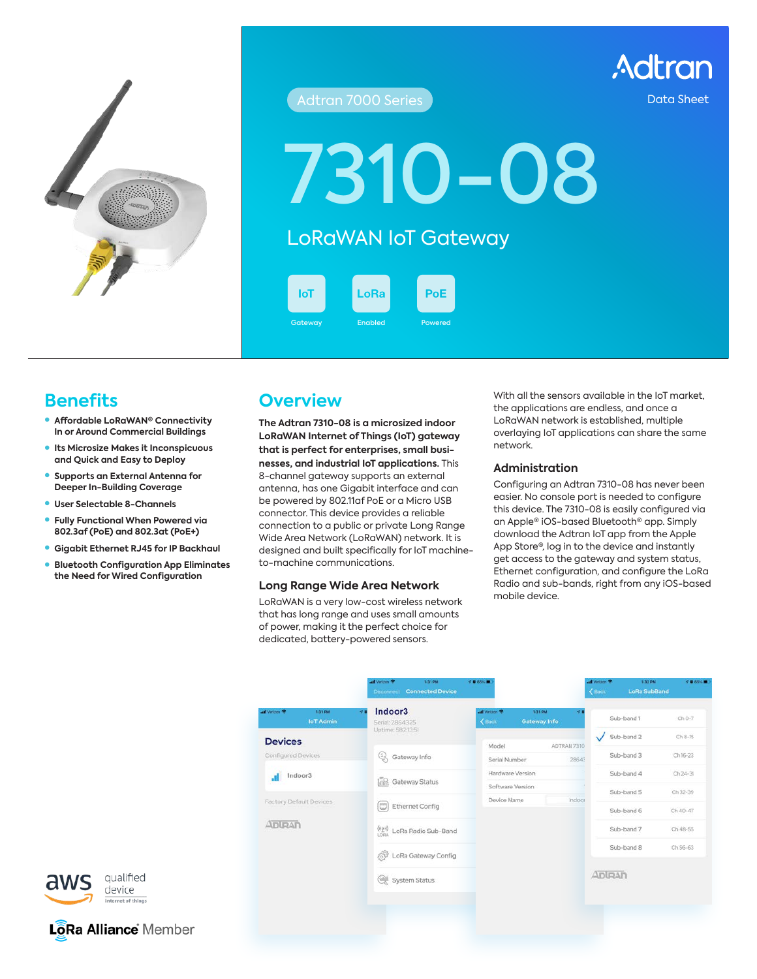

## **Adtran 7000 Series** Data Sheet

Adtran

7310-08

# LoRaWAN IoT Gateway

**IoT** 

Gateway **Enabled** 

LoRa PoE

# **Benefits**

- **Affordable LoRaWAN® Connectivity In or Around Commercial Buildings**
- **Its Microsize Makes it Inconspicuous and Quick and Easy to Deploy**
- **Supports an External Antenna for Deeper In-Building Coverage**
- **User Selectable 8-Channels**
- **Fully Functional When Powered via 802.3af (PoE) and 802.3at (PoE+)**

qualified

device

LoRa Alliance Member

- **Gigabit Ethernet RJ45 for IP Backhaul**
- z **Bluetooth Configuration App Eliminates the Need for Wired Configuration**

## **Overview**

**The Adtran 7310-08 is a microsized indoor LoRaWAN Internet of Things (IoT) gateway that is perfect for enterprises, small businesses, and industrial IoT applications.** This 8-channel gateway supports an external antenna, has one Gigabit interface and can be powered by 802.11af PoE or a Micro USB connector. This device provides a reliable connection to a public or private Long Range Wide Area Network (LoRaWAN) network. It is designed and built specifically for IoT machineto-machine communications.

## **Long Range Wide Area Network**

LoRaWAN is a very low-cost wireless network that has long range and uses small amounts of power, making it the perfect choice for dedicated, battery-powered sensors.

With all the sensors available in the IoT market, the applications are endless, and once a LoRaWAN network is established, multiple overlaying IoT applications can share the same network.

#### **Administration**

Configuring an Adtran 7310-08 has never been easier. No console port is needed to configure this device. The 7310-08 is easily configured via an Apple® iOS-based Bluetooth® app. Simply download the Adtran IoT app from the Apple App Store®, log in to the device and instantly get access to the gateway and system status, Ethernet configuration, and configure the LoRa Radio and sub-bands, right from any iOS-based mobile device.